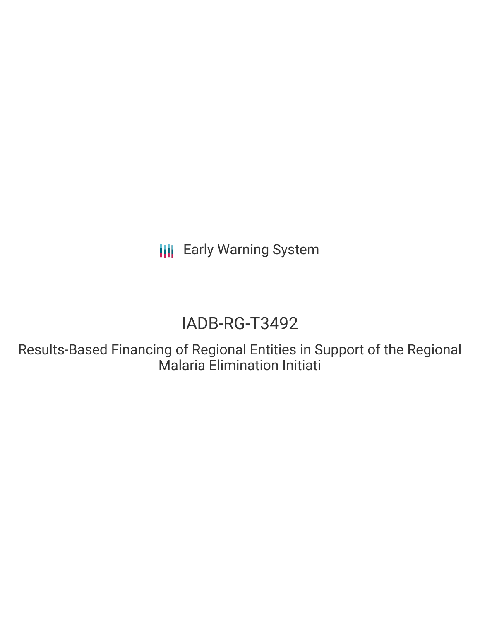**III** Early Warning System

# IADB-RG-T3492

Results-Based Financing of Regional Entities in Support of the Regional Malaria Elimination Initiati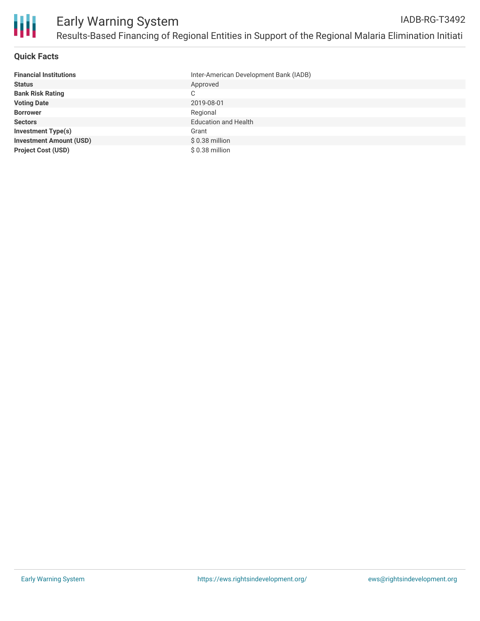

## **Quick Facts**

| <b>Financial Institutions</b>  | Inter-American Development Bank (IADB) |
|--------------------------------|----------------------------------------|
| <b>Status</b>                  | Approved                               |
| <b>Bank Risk Rating</b>        | C                                      |
| <b>Voting Date</b>             | 2019-08-01                             |
| <b>Borrower</b>                | Regional                               |
| <b>Sectors</b>                 | <b>Education and Health</b>            |
| <b>Investment Type(s)</b>      | Grant                                  |
| <b>Investment Amount (USD)</b> | \$0.38 million                         |
| <b>Project Cost (USD)</b>      | $$0.38$ million                        |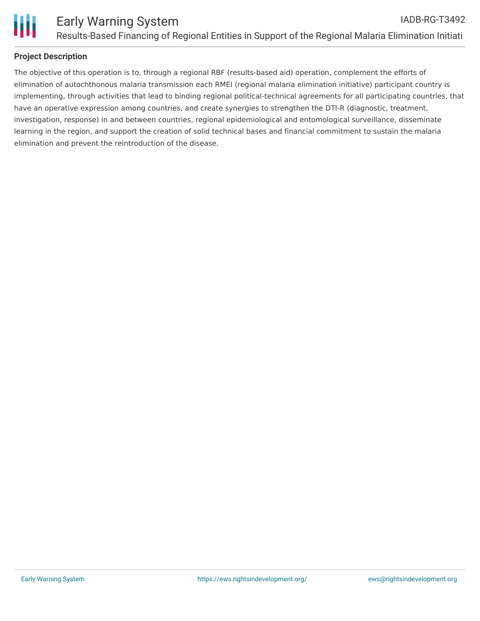

## **Project Description**

The objective of this operation is to, through a regional RBF (results-based aid) operation, complement the efforts of elimination of autochthonous malaria transmission each RMEI (regional malaria elimination initiative) participant country is implementing, through activities that lead to binding regional political-technical agreements for all participating countries, that have an operative expression among countries, and create synergies to strengthen the DTI-R (diagnostic, treatment, investigation, response) in and between countries, regional epidemiological and entomological surveillance, disseminate learning in the region, and support the creation of solid technical bases and financial commitment to sustain the malaria elimination and prevent the reintroduction of the disease.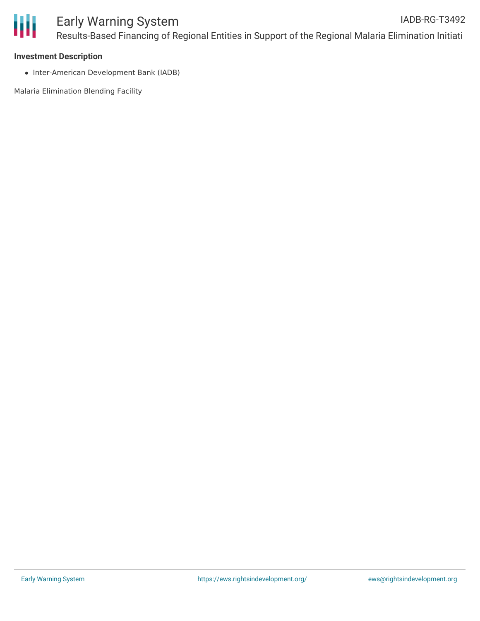

#### **Investment Description**

• Inter-American Development Bank (IADB)

Malaria Elimination Blending Facility